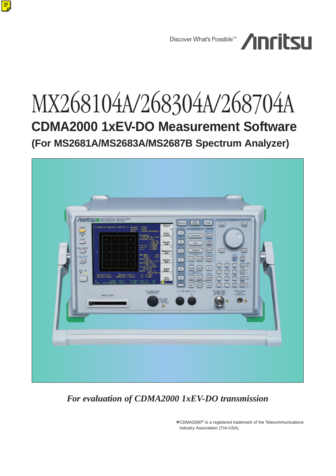

## MX268104A/268304A/268704A **CDMA2000 1xEV-DO Measurement Software (For MS2681A/MS2683A/MS2687B Spectrum Analyzer)**



*For evaluation of CDMA2000 1xEV-DO transmission*

∗ CDMA2000® is a registered trademark of the Telecommunications Industry Association (TIA-USA).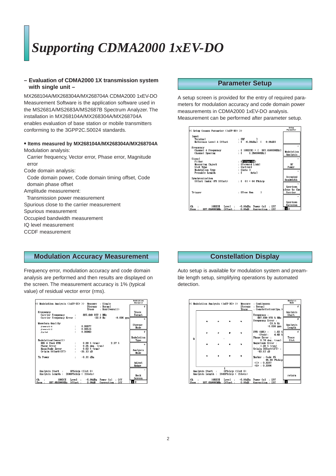### *Supporting CDMA2000 1xEV-DO*

#### **– Evaluation of CDMA2000 1X transmission system with single unit –**

MX268104A/MX268304A/MX268704A CDMA2000 1xEV-DO Measurement Software is the application software used in the MS2681A/MS2683A/MS2687B Spectrum Analyzer. The installation in MX268104A/MX268304A/MX268704A enables evaluation of base station or mobile transmitters conforming to the 3GPP2C.S0024 standards.

#### **• Items measured by MX268104A/MX268304A/MX268704A** Modulation analysis:

Carrier frequency, Vector error, Phase error, Magnitude error

Code domain analysis:

Code domain power, Code domain timing offset, Code domain phase offset

Amplitude measurement:

- Transmission power measurement
- Spurious close to the carrier measurement

Spurious measurement

Occupied bandwidth measurement

IQ level measurement

CCDF measurement

#### **Parameter Setup**

A setup screen is provided for the entry of required parameters for modulation accuracy and code domain power measurements in CDMA2000 1xEV-DO analysis. Measurement can be performed after parameter setup.



#### **Modulation Accuracy Measurement**

Frequency error, modulation accuracy and code domain analysis are performed and then results are displayed on the screen. The measurement accuracy is 1% (typical value) of residual vector error (rms).



#### **Constellation Display**

Auto setup is available for modulation system and preamble length setup, simplifying operations by automated detection.

|                                                                                |  |                         | << Modulation Analysis (1xEV-DO) >> | <b>Measure</b>          | : Continuous                                                                                     | <b>Analysis</b><br>Hode                               |
|--------------------------------------------------------------------------------|--|-------------------------|-------------------------------------|-------------------------|--------------------------------------------------------------------------------------------------|-------------------------------------------------------|
|                                                                                |  |                         |                                     | <b>Storage</b><br>Trace | : Normal<br>: Constellation(Sym.)                                                                | Ŧ.                                                    |
|                                                                                |  |                         |                                     |                         | Frequency :<br>887.649 978 5 MHz<br>Frequency Error :<br>$-21.5$ Hz<br>$-0.024$ ppm              | Analysis<br>Start<br>$\ddot{ }$<br>Analysis<br>Length |
| O.                                                                             |  |                         |                                     |                         | <b>EVM (RMS) :</b><br>$1.83*$<br>4.68 %<br>(Peak):<br><b>Phase Error:</b><br>$0.74$ deg. $(rms)$ | ř<br>Trace<br>Slot                                    |
|                                                                                |  |                         |                                     |                         | Magnitude Error :<br>$1.29 \times$ (rms)<br>Origin Offset(CFT) :<br>$-83.57$ dB                  |                                                       |
|                                                                                |  |                         |                                     |                         | Marker : Code 15<br>95.00 Plchip<br>(1) : 0.3237<br>(0) : 0.3306                                 |                                                       |
| OPNchip (Slot 0)<br>Analysis Start :<br>Analysis Length : 2048PNchip ( 1Slots) |  |                         |                                     |                         |                                                                                                  | return                                                |
| Сħ<br>Free:                                                                    |  | 1092CH<br>887.650000MHz | Leve l<br>$\sim$<br>Offset :        | $-6.00$ dBn<br>0.00dB   | Power Cal<br>: Off<br>Correction : Off                                                           |                                                       |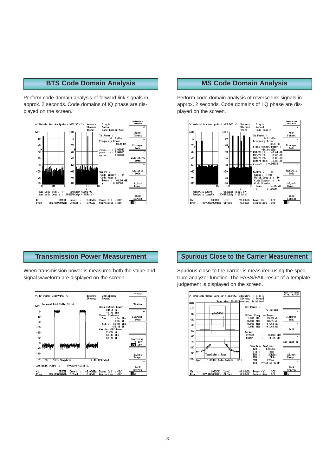#### **BTS Code Domain Analysis**

Perform code domain analysis of forward link signals in approx. 2 seconds. Code domains of IQ phase are displayed on the screen.



#### **MS Code Domain Analysis**

Perform code domain analysis of reverse link signals in approx. 2 seconds. Code domains of I Q phase are displayed on the screen.



#### **Transmission Power Measurement**

When transmission power is measured both the value and signal waveform are displayed on the screen.



#### **Spurious Close to the Carrier Measurement**

Spurious close to the carrier is measured using the spectrum analyzer function. The PASS/FAIL result of a template judgement is displayed on the screen.

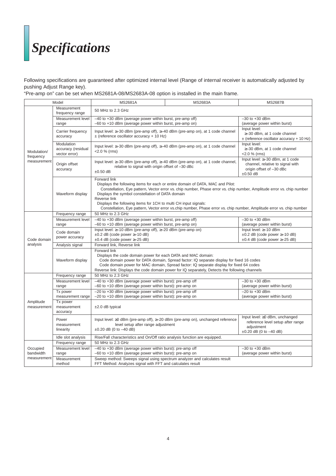# *Specifications*

Following specifications are guaranteed after optimized internal level (Range of internal receiver is automatically adjusted by pushing Adjust Range key).

"Pre-amp on" can be set when MS2681A-08/MS2683A-08 option is installed in the main frame.

| Model                    |                                                   | <b>MS2681A</b>                                                                                                                                                                                                                                                                                                                                                                                                                                                                           | <b>MS2683A</b>                                                                                                    | <b>MS2687B</b>                                                                                                           |  |  |
|--------------------------|---------------------------------------------------|------------------------------------------------------------------------------------------------------------------------------------------------------------------------------------------------------------------------------------------------------------------------------------------------------------------------------------------------------------------------------------------------------------------------------------------------------------------------------------------|-------------------------------------------------------------------------------------------------------------------|--------------------------------------------------------------------------------------------------------------------------|--|--|
|                          | Measurement<br>frequency range                    | 50 MHz to 2.3 GHz                                                                                                                                                                                                                                                                                                                                                                                                                                                                        |                                                                                                                   |                                                                                                                          |  |  |
|                          | Measurement level<br>range                        | -40 to +30 dBm (average power within burst, pre-amp off)<br>$-60$ to $+10$ dBm (average power within burst, pre-amp on)                                                                                                                                                                                                                                                                                                                                                                  | $-30$ to $+30$ dBm<br>(average power within burst)                                                                |                                                                                                                          |  |  |
|                          | Carrier frequency<br>accuracy                     | Input level: $\geq$ 30 dBm (pre-amp off), $\geq$ 40 dBm (pre-amp on), at 1 code channel<br>$\pm$ (reference oscillator accuracy + 10 Hz)                                                                                                                                                                                                                                                                                                                                                 |                                                                                                                   | Input level:<br>$\geq$ -30 dBm, at 1 code channel<br>$\pm$ (reference oscillator accuracy + 10 Hz)                       |  |  |
| Modulation/<br>frequency | Modulation<br>accuracy (residual<br>vector error) | Input level: $\geq$ 30 dBm (pre-amp off), $\geq$ 40 dBm (pre-amp on), at 1 code channel<br>$<$ 2.0 % (rms)                                                                                                                                                                                                                                                                                                                                                                               | Input level:<br>≥-30 dBm, at 1 code channel<br><2.0 % (rms)                                                       |                                                                                                                          |  |  |
| measurement              | Origin offset<br>accuracy                         | Input level: ≥–30 dBm (pre-amp off), ≥–40 dBm (pre-amp on), at 1 code channel,<br>relative to signal with origin offset of -30 dBc<br>$±0.50$ dB                                                                                                                                                                                                                                                                                                                                         | Input level: ≥-30 dBm, at 1 code<br>channel, relative to signal with<br>origin offset of -30 dBc<br>$\pm 0.50$ dB |                                                                                                                          |  |  |
|                          | Waveform display                                  | Forward link<br>Displays the following items for each or entire domain of DATA, MAC and Pilot:<br>Constellation, Eye pattern, Vector error vs. chip number, Phase error vs. chip number, Amplitude error vs. chip number<br>Displays the symbol constellation of DATA domain<br>Reverse link<br>Displays the following items for 1CH to multi CH input signals:<br>Constellation, Eye pattern, Vector error vs.chip number, Phase error vs. chip number, Amplitude error vs. chip number |                                                                                                                   |                                                                                                                          |  |  |
|                          | Frequency range                                   | 50 MHz to 2.3 GHz                                                                                                                                                                                                                                                                                                                                                                                                                                                                        |                                                                                                                   |                                                                                                                          |  |  |
|                          | Measurement level                                 | -40 to +30 dBm (average power within burst, pre-amp off)                                                                                                                                                                                                                                                                                                                                                                                                                                 |                                                                                                                   | $-30$ to $+30$ dBm                                                                                                       |  |  |
|                          | range                                             | $-60$ to $+10$ dBm (average power within burst, pre-amp on)                                                                                                                                                                                                                                                                                                                                                                                                                              |                                                                                                                   | (average power within burst)                                                                                             |  |  |
| Code domain              | Code domain<br>power accuracy                     | Input level: $\geq -10$ dBm (pre-amp off), $\geq -20$ dBm (pre-amp on)<br>$\pm 0.2$ dB (code power $\geq -10$ dB)<br>$\pm 0.4$ dB (code power $\geq -25$ dB)                                                                                                                                                                                                                                                                                                                             |                                                                                                                   | Input level: ≥-10 dBm<br>$\pm 0.2$ dB (code power $\geq -10$ dB)<br>$\pm 0.4$ dB (code power $\ge -25$ dB)               |  |  |
| analysis                 | Analysis signal                                   | Forward link. Reverse link                                                                                                                                                                                                                                                                                                                                                                                                                                                               |                                                                                                                   |                                                                                                                          |  |  |
|                          | Waveform display                                  | Forward link<br>Displays the code domain power for each DATA and MAC domain:<br>Code domain power for DATA domain, Spread factor: IQ separate display for fixed 16 codes<br>Code domain power for MAC domain, Spread factor: IQ separate display for fixed 64 codes<br>Reverse link: Displays the code domain power for IQ separately, Detects the following channels                                                                                                                    |                                                                                                                   |                                                                                                                          |  |  |
|                          | Frequency range                                   | 50 MHz to 2.3 GHz                                                                                                                                                                                                                                                                                                                                                                                                                                                                        |                                                                                                                   |                                                                                                                          |  |  |
|                          | Measurement level<br>range                        | -40 to +30 dBm (average power within burst): pre-amp off<br>-60 to +10 dBm (average power within burst): pre-amp on                                                                                                                                                                                                                                                                                                                                                                      |                                                                                                                   | $-30$ to $+30$ dBm<br>(average power within burst)                                                                       |  |  |
|                          | Tx power<br>measurement range                     | $-20$ to $+30$ dBm (average power within burst): pre-amp off<br>$-20$ to $+10$ dBm (average power within burst): pre-amp on                                                                                                                                                                                                                                                                                                                                                              |                                                                                                                   | $-20$ to $+30$ dBm<br>(average power within burst)                                                                       |  |  |
| Amplitude<br>measurement | Tx power<br>measurement<br>accuracy               | $±2.0$ dB typical                                                                                                                                                                                                                                                                                                                                                                                                                                                                        |                                                                                                                   |                                                                                                                          |  |  |
|                          | Power<br>measurement<br>linearity                 | level setup after range adjustment<br>$\pm 0.20$ dB (0 to $-40$ dB)                                                                                                                                                                                                                                                                                                                                                                                                                      | Input level: $\geq 0$ dBm (pre-amp off), $\geq -20$ dBm (pre-amp on), unchanged reference                         | Input level: $\geq 0$ dBm, unchanged<br>reference level setup after range<br>adjustment<br>$\pm 0.20$ dB (0 to $-40$ dB) |  |  |
|                          | Idle slot analysis                                | Rise/Fall characteristics and On/Off ratio analysis function are equipped.                                                                                                                                                                                                                                                                                                                                                                                                               |                                                                                                                   |                                                                                                                          |  |  |
|                          | Frequency range                                   | 50 MHz to 2.3 GHz                                                                                                                                                                                                                                                                                                                                                                                                                                                                        |                                                                                                                   |                                                                                                                          |  |  |
| Occupied<br>bandwidth    | Measurement level<br>range                        | -40 to +30 dBm (average power within burst): pre-amp off<br>-60 to +10 dBm (average power within burst): pre-amp on                                                                                                                                                                                                                                                                                                                                                                      |                                                                                                                   | $-30$ to $+30$ dBm<br>(average power within burst)                                                                       |  |  |
| measurement              | Measurement<br>method                             | Sweep method: Sweeps signal using spectrum analyzer and calculates result<br>FFT Method: Analyzes signal with FFT and calculates result                                                                                                                                                                                                                                                                                                                                                  |                                                                                                                   |                                                                                                                          |  |  |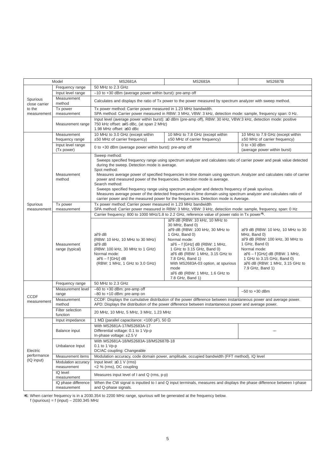| Model                     |                                               | <b>MS2681A</b>                                                                                                                                                                                                                                                                                                                                                                                                                                                                                                                                                                                                                                                                                                                                   | <b>MS2683A</b>                                                                                                                                                                                                                                                                                                                                                            | <b>MS2687B</b>                                                                                                                                                                                                                                                 |  |  |
|---------------------------|-----------------------------------------------|--------------------------------------------------------------------------------------------------------------------------------------------------------------------------------------------------------------------------------------------------------------------------------------------------------------------------------------------------------------------------------------------------------------------------------------------------------------------------------------------------------------------------------------------------------------------------------------------------------------------------------------------------------------------------------------------------------------------------------------------------|---------------------------------------------------------------------------------------------------------------------------------------------------------------------------------------------------------------------------------------------------------------------------------------------------------------------------------------------------------------------------|----------------------------------------------------------------------------------------------------------------------------------------------------------------------------------------------------------------------------------------------------------------|--|--|
|                           | Frequency range                               | 50 MHz to 2.3 GHz                                                                                                                                                                                                                                                                                                                                                                                                                                                                                                                                                                                                                                                                                                                                |                                                                                                                                                                                                                                                                                                                                                                           |                                                                                                                                                                                                                                                                |  |  |
|                           | Input level range                             | -10 to +30 dBm (average power within burst): pre-amp off                                                                                                                                                                                                                                                                                                                                                                                                                                                                                                                                                                                                                                                                                         |                                                                                                                                                                                                                                                                                                                                                                           |                                                                                                                                                                                                                                                                |  |  |
| Spurious<br>close carrier | Measurement<br>method                         | Calculates and displays the ratio of Tx power to the power measured by spectrum analyzer with sweep method.                                                                                                                                                                                                                                                                                                                                                                                                                                                                                                                                                                                                                                      |                                                                                                                                                                                                                                                                                                                                                                           |                                                                                                                                                                                                                                                                |  |  |
| to the<br>measurement     | Tx power<br>measurement                       | Tx power method: Carrier power measured in 1.23 MHz bandwidth.<br>SPA method: Carrier power measured in RBW: 3 MHz, VBW: 3 kHz, detection mode: sample, frequency span: 0 Hz.                                                                                                                                                                                                                                                                                                                                                                                                                                                                                                                                                                    |                                                                                                                                                                                                                                                                                                                                                                           |                                                                                                                                                                                                                                                                |  |  |
|                           | Measurement range                             | Input level (average power within burst): ≥0 dBm (pre-amp off), RBW: 30 kHz, VBW:3 kHz, detection mode: positive<br>750 kHz offset: ≥45 dBc, (at span 2 MHz)<br>1.98 MHz offset: ≥60 dBc                                                                                                                                                                                                                                                                                                                                                                                                                                                                                                                                                         |                                                                                                                                                                                                                                                                                                                                                                           |                                                                                                                                                                                                                                                                |  |  |
|                           | Measurement<br>frequency range                | 10 MHz to 3.0 GHz (except within<br>±50 MHz of carrier frequency)                                                                                                                                                                                                                                                                                                                                                                                                                                                                                                                                                                                                                                                                                | 10 MHz to 7.8 GHz (except within<br>$±50$ MHz of carrier frequency)                                                                                                                                                                                                                                                                                                       | 10 MHz to 7.9 GHz (except within<br>±50 MHz of carrier frequency)                                                                                                                                                                                              |  |  |
|                           | Input level range<br>(Tx power)               | 0 to +30 dBm (average power within burst): pre-amp off                                                                                                                                                                                                                                                                                                                                                                                                                                                                                                                                                                                                                                                                                           |                                                                                                                                                                                                                                                                                                                                                                           | $0$ to $+30$ dBm<br>(average power within burst)                                                                                                                                                                                                               |  |  |
|                           | Measurement<br>method                         | Sweep method:<br>Sweeps specified frequency range using spectrum analyzer and calculates ratio of carrier power and peak value detected<br>during the sweep. Detection mode is average.<br>Spot method:<br>Measures average power of specified frequencies in time domain using spectrum. Analyzer and calculates ratio of carrier<br>power and measured power of the frequencies. Detection mode is average.<br>Search method:<br>Sweeps specified frequency range using spectrum analyzer and detects frequency of peak spurious.<br>Measures average power of the detected frequencies in time domain using spectrum analyzer and calculates ratio of<br>carrier power and the measured power for the frequencies. Detection mode is Average. |                                                                                                                                                                                                                                                                                                                                                                           |                                                                                                                                                                                                                                                                |  |  |
| Spurious                  | Tx power                                      | Tx power method: Carrier power measured in 1.23 MHz bandwidth                                                                                                                                                                                                                                                                                                                                                                                                                                                                                                                                                                                                                                                                                    |                                                                                                                                                                                                                                                                                                                                                                           |                                                                                                                                                                                                                                                                |  |  |
| measurement               | measurement<br>Measurement<br>range (typical) | SPA method: Carrier power measured in RBW: 3 MHz, VBW: 3 kHz, detection mode: sample, frequency, span: 0 Hz<br>Carrier frequency: 800 to 1000 MHz/1.8 to 2.2 GHz, reference value of power ratio in Tx power*1.                                                                                                                                                                                                                                                                                                                                                                                                                                                                                                                                  |                                                                                                                                                                                                                                                                                                                                                                           |                                                                                                                                                                                                                                                                |  |  |
|                           |                                               | $\geq$ 79 dB<br>(RBW: 10 kHz, 10 MHz to 30 MHz)<br>$\geq$ 79 dB<br>(RBW: 100 kHz, 30 MHz to 1 GHz)<br>Normal mode:<br>$\geq$ 76 – f [GHz] dB<br>(RBW: 1 MHz, 1 GHz to 3.0 GHz)                                                                                                                                                                                                                                                                                                                                                                                                                                                                                                                                                                   | $\geq$ 79 dB (RBW: 10 kHz, 10 MHz to<br>30 MHz, Band 0)<br>≥79 dB (RBW: 100 kHz, 30 MHz to<br>1 GHz, Band 0)<br>Normal mode:<br>$\geq$ 76 – f [GHz] dB (RBW: 1 MHz,<br>1 GHz to 3.15 GHz, Band 0)<br>$\geq$ 76 dB (RBW: 1 MHz, 3.15 GHz to<br>7.8 GHz, Band 1)<br>With MS2683A-03 option, at spurious<br>mode<br>$\geq$ 76 dB (RBW: 1 MHz, 1.6 GHz to<br>7.8 GHz, Band 1) | ≥79 dB (RBW: 10 kHz, 10 MHz to 30<br>MHz, Band 0)<br>$\geq$ 79 dB (RBW: 100 kHz, 30 MHz to<br>1 GHz, Band 0)<br>Normal mode:<br>$\geq$ 76 – f [GHz] dB (RBW: 1 MHz,<br>1 GHz to 3.15 GHz, Band 0)<br>$\geq$ 76 dB (RBW: 1 MHz, 3.15 GHz to<br>7.9 GHz, Band 1) |  |  |
|                           | Frequency range                               | 50 MHz to 2.3 GHz                                                                                                                                                                                                                                                                                                                                                                                                                                                                                                                                                                                                                                                                                                                                |                                                                                                                                                                                                                                                                                                                                                                           |                                                                                                                                                                                                                                                                |  |  |
| <b>CCDF</b>               | Measurement level<br>range                    | -60 to +30 dBm: pre-amp off<br>-80 to +10 dBm: pre-amp on                                                                                                                                                                                                                                                                                                                                                                                                                                                                                                                                                                                                                                                                                        |                                                                                                                                                                                                                                                                                                                                                                           | $-50$ to $+30$ dBm                                                                                                                                                                                                                                             |  |  |
| measurement               | Measurement<br>method                         | CCDF: Displays the cumulative distribution of the power difference between instantaneous power and average power.<br>APD: Displays the distribution of the power difference between instantaneous power and average power.                                                                                                                                                                                                                                                                                                                                                                                                                                                                                                                       |                                                                                                                                                                                                                                                                                                                                                                           |                                                                                                                                                                                                                                                                |  |  |
|                           | Filter selection<br>function                  | 20 MHz, 10 MHz, 5 MHz, 3 MHz, 1.23 MHz                                                                                                                                                                                                                                                                                                                                                                                                                                                                                                                                                                                                                                                                                                           |                                                                                                                                                                                                                                                                                                                                                                           |                                                                                                                                                                                                                                                                |  |  |
|                           | Input impedance                               | 1 M $\Omega$ (parallel capacitance: <100 pF), 50 $\Omega$                                                                                                                                                                                                                                                                                                                                                                                                                                                                                                                                                                                                                                                                                        |                                                                                                                                                                                                                                                                                                                                                                           |                                                                                                                                                                                                                                                                |  |  |
|                           | Balance input                                 | With MS2681A-17/MS2683A-17<br>Differential voltage: 0.1 to 1 Vp-p<br>In-phase voltage: ±2.5 V                                                                                                                                                                                                                                                                                                                                                                                                                                                                                                                                                                                                                                                    |                                                                                                                                                                                                                                                                                                                                                                           |                                                                                                                                                                                                                                                                |  |  |
| Electric                  | Unbalance Input                               | With MS2681A-18/MS2683A-18/MS2687B-18<br>$0.1$ to 1 Vp-p<br>DC/AC coupling: Changeable                                                                                                                                                                                                                                                                                                                                                                                                                                                                                                                                                                                                                                                           |                                                                                                                                                                                                                                                                                                                                                                           |                                                                                                                                                                                                                                                                |  |  |
| performance               | Measurement items                             | Modulation accuracy, code domain power, amplitude, occupied bandwidth (FFT method), IQ level                                                                                                                                                                                                                                                                                                                                                                                                                                                                                                                                                                                                                                                     |                                                                                                                                                                                                                                                                                                                                                                           |                                                                                                                                                                                                                                                                |  |  |
| (IQ input)                | Modulation accuracy<br>measurement            | Input level: $\geq$ 0.1 V (rms)<br><2 % (rms), DC coupling                                                                                                                                                                                                                                                                                                                                                                                                                                                                                                                                                                                                                                                                                       |                                                                                                                                                                                                                                                                                                                                                                           |                                                                                                                                                                                                                                                                |  |  |
|                           | IQ level<br>measurement                       | Measures input level of I and Q (rms, p-p)                                                                                                                                                                                                                                                                                                                                                                                                                                                                                                                                                                                                                                                                                                       |                                                                                                                                                                                                                                                                                                                                                                           |                                                                                                                                                                                                                                                                |  |  |
|                           | IQ phase difference<br>measurement            | When the CW signal is inputted to I and Q input terminals, measures and displays the phase difference between I-phase<br>and Q-phase signals.                                                                                                                                                                                                                                                                                                                                                                                                                                                                                                                                                                                                    |                                                                                                                                                                                                                                                                                                                                                                           |                                                                                                                                                                                                                                                                |  |  |

∗1: When carrier frequency is in a 2030.354 to 2200 MHz range, spurious will be generated at the frequency below.

f (spurious) = f (input) – 2030.345 MHz